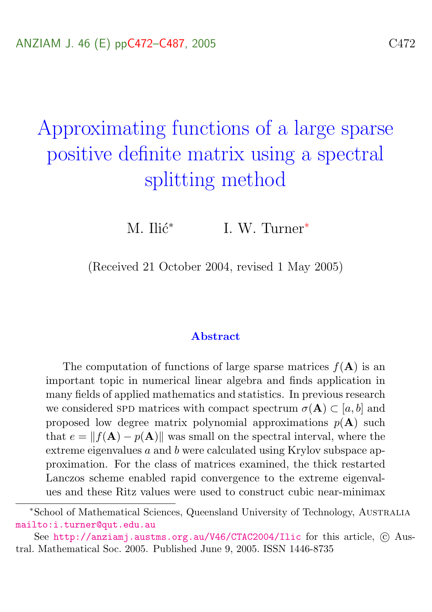# <span id="page-0-0"></span>Approximating functions of a large sparse positive definite matrix using a spectral splitting method

M. Ilić $*$ I. W. Turner<sup>∗</sup>

(Received 21 October 2004, revised 1 May 2005)

#### Abstract

The computation of functions of large sparse matrices  $f(A)$  is an important topic in numerical linear algebra and finds application in many fields of applied mathematics and statistics. In previous research we considered SPD matrices with compact spectrum  $\sigma(A) \subset [a, b]$  and proposed low degree matrix polynomial approximations  $p(\mathbf{A})$  such that  $e = ||f(\mathbf{A}) - p(\mathbf{A})||$  was small on the spectral interval, where the extreme eigenvalues a and b were calculated using Krylov subspace approximation. For the class of matrices examined, the thick restarted Lanczos scheme enabled rapid convergence to the extreme eigenvalues and these Ritz values were used to construct cubic near-minimax

<sup>∗</sup>School of Mathematical Sciences, Queensland University of Technology, Australia <mailto:i.turner@qut.edu.au>

See <http://anziamj.austms.org.au/V46/CTAC2004/Ilic> for this article, © Austral. Mathematical Soc. 2005. Published June 9, 2005. ISSN 1446-8735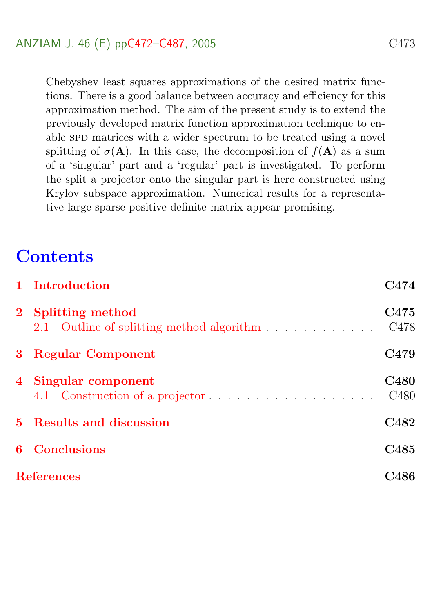Chebyshev least squares approximations of the desired matrix functions. There is a good balance between accuracy and efficiency for this approximation method. The aim of the present study is to extend the previously developed matrix function approximation technique to enable SPD matrices with a wider spectrum to be treated using a novel splitting of  $\sigma(A)$ . In this case, the decomposition of  $f(A)$  as a sum of a 'singular' part and a 'regular' part is investigated. To perform the split a projector onto the singular part is here constructed using Krylov subspace approximation. Numerical results for a representative large sparse positive definite matrix appear promising.

# **Contents**

<span id="page-1-0"></span>

|                   | 1 Introduction                                                  | C474                                 |
|-------------------|-----------------------------------------------------------------|--------------------------------------|
|                   | 2 Splitting method<br>2.1 Outline of splitting method algorithm | C <sub>475</sub><br>C <sub>478</sub> |
|                   | 3 Regular Component                                             | C <sub>4</sub> 79                    |
|                   | 4 Singular component                                            | <b>C480</b><br>C <sub>480</sub>      |
|                   | 5 Results and discussion                                        | C482                                 |
|                   | <b>6</b> Conclusions                                            | C <sub>485</sub>                     |
| <b>References</b> |                                                                 |                                      |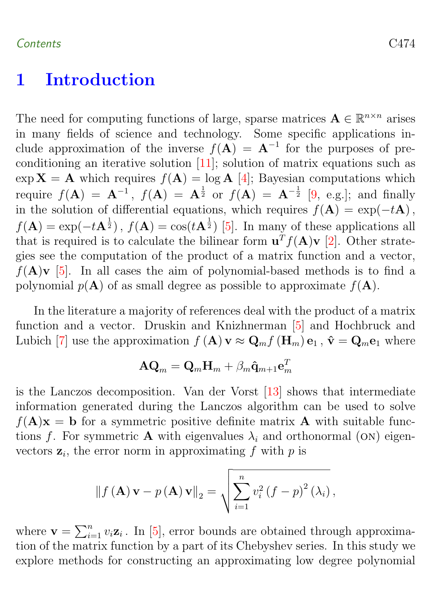### <span id="page-2-0"></span>1 Introduction

The need for computing functions of large, sparse matrices  $\mathbf{A} \in \mathbb{R}^{n \times n}$  arises in many fields of science and technology. Some specific applications include approximation of the inverse  $f(A) = A^{-1}$  for the purposes of preconditioning an iterative solution [\[11\]](#page-15-0); solution of matrix equations such as  $\exp X = A$  which requires  $f(A) = \log A$  [\[4\]](#page-14-1); Bayesian computations which require  $f(A) = A^{-1}$ ,  $f(A) = A^{\frac{1}{2}}$  or  $f(A) = A^{-\frac{1}{2}}$  [\[9,](#page-14-2) e.g.]; and finally in the solution of differential equations, which requires  $f(A) = \exp(-tA)$ ,  $f(\mathbf{A}) = \exp(-t\mathbf{A}^{\frac{1}{2}}), f(\mathbf{A}) = \cos(t\mathbf{A}^{\frac{1}{2}})$  [\[5\]](#page-14-3). In many of these applications all that is required is to calculate the bilinear form  $\mathbf{u}^T f(\mathbf{A}) \mathbf{v}$  [\[2\]](#page-14-4). Other strategies see the computation of the product of a matrix function and a vector,  $f(A)\mathbf{v}$  [\[5\]](#page-14-3). In all cases the aim of polynomial-based methods is to find a polynomial  $p(\mathbf{A})$  of as small degree as possible to approximate  $f(\mathbf{A})$ .

In the literature a majority of references deal with the product of a matrix function and a vector. Druskin and Knizhnerman [\[5\]](#page-14-3) and Hochbruck and Lubich [\[7\]](#page-14-5) use the approximation  $f(A) \mathbf{v} \approx \mathbf{Q}_m f(\mathbf{H}_m) \mathbf{e}_1$ ,  $\hat{\mathbf{v}} = \mathbf{Q}_m \mathbf{e}_1$  where

$$
\mathbf{A}\mathbf{Q}_m = \mathbf{Q}_m \mathbf{H}_m + \beta_m \mathbf{\hat{q}}_{m+1} \mathbf{e}_m^T
$$

is the Lanczos decomposition. Van der Vorst [\[13\]](#page-15-1) shows that intermediate information generated during the Lanczos algorithm can be used to solve  $f(A)\mathbf{x} = \mathbf{b}$  for a symmetric positive definite matrix **A** with suitable functions f. For symmetric **A** with eigenvalues  $\lambda_i$  and orthonormal (ON) eigenvectors  $z_i$ , the error norm in approximating f with p is

$$
\|f(\mathbf{A})\mathbf{v} - p(\mathbf{A})\mathbf{v}\|_2 = \sqrt{\sum_{i=1}^n v_i^2 (f - p)^2 (\lambda_i)},
$$

where  $\mathbf{v} = \sum_{i=1}^{n} v_i \mathbf{z}_i$ . In [\[5\]](#page-14-3), error bounds are obtained through approximation of the matrix function by a part of its Chebyshev series. In this study we explore methods for constructing an approximating low degree polynomial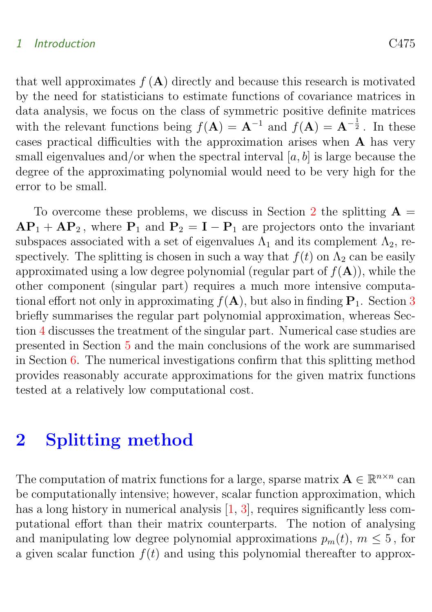#### <span id="page-3-1"></span>1 Introduction C475

that well approximates  $f(A)$  directly and because this research is motivated by the need for statisticians to estimate functions of covariance matrices in data analysis, we focus on the class of symmetric positive definite matrices with the relevant functions being  $f(A) = A^{-1}$  and  $f(A) = A^{-\frac{1}{2}}$ . In these cases practical difficulties with the approximation arises when A has very small eigenvalues and/or when the spectral interval  $[a, b]$  is large because the degree of the approximating polynomial would need to be very high for the error to be small.

To overcome these problems, we discuss in Section [2](#page-3-0) the splitting  $A =$  $AP_1 + AP_2$ , where  $P_1$  and  $P_2 = I - P_1$  are projectors onto the invariant subspaces associated with a set of eigenvalues  $\Lambda_1$  and its complement  $\Lambda_2$ , respectively. The splitting is chosen in such a way that  $f(t)$  on  $\Lambda_2$  can be easily approximated using a low degree polynomial (regular part of  $f(A)$ ), while the other component (singular part) requires a much more intensive computational effort not only in approximating  $f(A)$ , but also in finding  $P_1$ . Section [3](#page-7-0) briefly summarises the regular part polynomial approximation, whereas Section [4](#page-8-0) discusses the treatment of the singular part. Numerical case studies are presented in Section [5](#page-10-0) and the main conclusions of the work are summarised in Section [6.](#page-13-0) The numerical investigations confirm that this splitting method provides reasonably accurate approximations for the given matrix functions tested at a relatively low computational cost.

# <span id="page-3-0"></span>2 Splitting method

The computation of matrix functions for a large, sparse matrix  $\mathbf{A} \in \mathbb{R}^{n \times n}$  can be computationally intensive; however, scalar function approximation, which has a long history in numerical analysis  $[1, 3]$  $[1, 3]$  $[1, 3]$ , requires significantly less computational effort than their matrix counterparts. The notion of analysing and manipulating low degree polynomial approximations  $p_m(t)$ ,  $m \leq 5$ , for a given scalar function  $f(t)$  and using this polynomial thereafter to approx-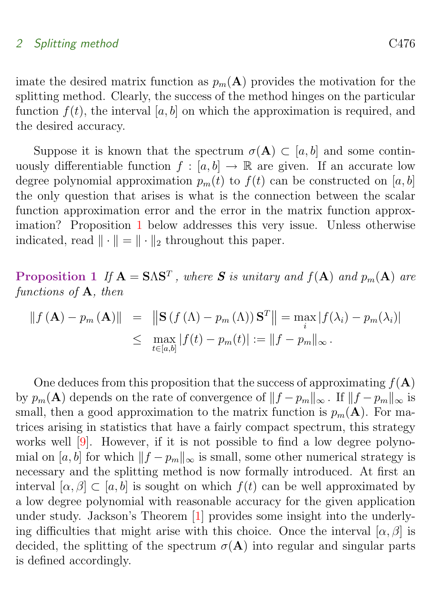<span id="page-4-1"></span>imate the desired matrix function as  $p_m(A)$  provides the motivation for the splitting method. Clearly, the success of the method hinges on the particular function  $f(t)$ , the interval [a, b] on which the approximation is required, and the desired accuracy.

Suppose it is known that the spectrum  $\sigma(A) \subset [a, b]$  and some continuously differentiable function  $f : [a, b] \to \mathbb{R}$  are given. If an accurate low degree polynomial approximation  $p_m(t)$  to  $f(t)$  can be constructed on [a, b] the only question that arises is what is the connection between the scalar function approximation error and the error in the matrix function approximation? Proposition [1](#page-4-0) below addresses this very issue. Unless otherwise indicated, read  $\|\cdot\| = \|\cdot\|_2$  throughout this paper.

<span id="page-4-0"></span>**Proposition 1** If  $A = SAS^T$ , where S is unitary and  $f(A)$  and  $p_m(A)$  are functions of A, then

$$
|| f (\mathbf{A}) - p_m (\mathbf{A}) || = || \mathbf{S} (f (\Lambda) - p_m (\Lambda)) \mathbf{S}^T || = \max_{i} |f(\lambda_i) - p_m (\lambda_i)|
$$
  

$$
\leq \max_{t \in [a, b]} |f(t) - p_m (t)| := ||f - p_m||_{\infty}.
$$

One deduces from this proposition that the success of approximating  $f(A)$ by  $p_m(\mathbf{A})$  depends on the rate of convergence of  $||f - p_m||_{\infty}$ . If  $||f - p_m||_{\infty}$  is small, then a good approximation to the matrix function is  $p_m(\mathbf{A})$ . For matrices arising in statistics that have a fairly compact spectrum, this strategy works well [\[9\]](#page-14-2). However, if it is not possible to find a low degree polynomial on [a, b] for which  $||f - p_m||_{\infty}$  is small, some other numerical strategy is necessary and the splitting method is now formally introduced. At first an interval  $[\alpha, \beta] \subset [a, b]$  is sought on which  $f(t)$  can be well approximated by a low degree polynomial with reasonable accuracy for the given application under study. Jackson's Theorem [\[1\]](#page-14-6) provides some insight into the underlying difficulties that might arise with this choice. Once the interval  $[\alpha, \beta]$  is decided, the splitting of the spectrum  $\sigma(A)$  into regular and singular parts is defined accordingly.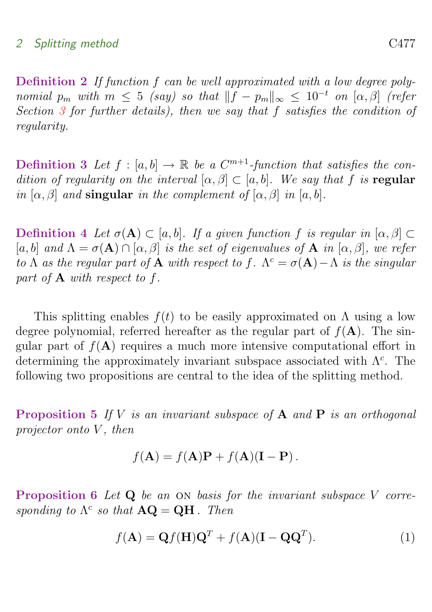Definition 2 If function f can be well approximated with a low degree polynomial  $p_m$  with  $m \leq 5$  (say) so that  $||f - p_m||_{\infty} \leq 10^{-t}$  on  $[\alpha, \beta]$  (refer Section [3](#page-7-0) for further details), then we say that f satisfies the condition of regularity.

**Definition 3** Let  $f : [a, b] \to \mathbb{R}$  be a  $C^{m+1}$ -function that satisfies the condition of regularity on the interval  $[\alpha, \beta] \subset [a, b]$ . We say that f is regular in  $[\alpha, \beta]$  and singular in the complement of  $[\alpha, \beta]$  in  $[a, b]$ .

Definition 4 Let  $\sigma(A) \subset [a, b]$ . If a given function f is regular in  $[\alpha, \beta] \subset$ [a, b] and  $\Lambda = \sigma(\mathbf{A}) \cap [\alpha, \beta]$  is the set of eigenvalues of  $\mathbf{A}$  in  $[\alpha, \beta]$ , we refer to  $\Lambda$  as the regular part of **A** with respect to f.  $\Lambda^c = \sigma(\mathbf{A}) - \Lambda$  is the singular part of A with respect to f.

This splitting enables  $f(t)$  to be easily approximated on  $\Lambda$  using a low degree polynomial, referred hereafter as the regular part of  $f(A)$ . The singular part of  $f(A)$  requires a much more intensive computational effort in determining the approximately invariant subspace associated with  $\Lambda^c$ . The following two propositions are central to the idea of the splitting method.

**Proposition 5** If V is an invariant subspace of  $A$  and  $P$  is an orthogonal projector onto  $V$ , then

$$
f(\mathbf{A}) = f(\mathbf{A})\mathbf{P} + f(\mathbf{A})(\mathbf{I} - \mathbf{P}).
$$

<span id="page-5-0"></span>Proposition 6 Let Q be an ON basis for the invariant subspace V corresponding to  $\Lambda^c$  so that  $\mathbf{AQ} = \mathbf{QH}$ . Then

$$
f(\mathbf{A}) = \mathbf{Q}f(\mathbf{H})\mathbf{Q}^T + f(\mathbf{A})(\mathbf{I} - \mathbf{Q}\mathbf{Q}^T).
$$
 (1)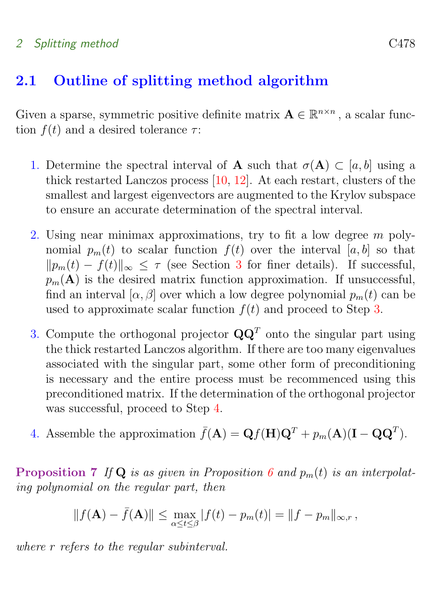### <span id="page-6-3"></span><span id="page-6-0"></span>2.1 Outline of splitting method algorithm

Given a sparse, symmetric positive definite matrix  $\mathbf{A} \in \mathbb{R}^{n \times n}$ , a scalar function  $f(t)$  and a desired tolerance  $\tau$ :

- 1. Determine the spectral interval of **A** such that  $\sigma(\mathbf{A}) \subset [a, b]$  using a thick restarted Lanczos process [\[10,](#page-15-2) [12\]](#page-15-3). At each restart, clusters of the smallest and largest eigenvectors are augmented to the Krylov subspace to ensure an accurate determination of the spectral interval.
- 2. Using near minimax approximations, try to fit a low degree m polynomial  $p_m(t)$  to scalar function  $f(t)$  over the interval [a, b] so that  $||p_m(t) - f(t)||_{\infty} \leq \tau$  (see Section [3](#page-7-0) for finer details). If successful,  $p_m(A)$  is the desired matrix function approximation. If unsuccessful, find an interval  $[\alpha, \beta]$  over which a low degree polynomial  $p_m(t)$  can be used to approximate scalar function  $f(t)$  and proceed to Step [3.](#page-6-1)
- <span id="page-6-1"></span>3. Compute the orthogonal projector  $\mathbf{Q}\mathbf{Q}^T$  onto the singular part using the thick restarted Lanczos algorithm. If there are too many eigenvalues associated with the singular part, some other form of preconditioning is necessary and the entire process must be recommenced using this preconditioned matrix. If the determination of the orthogonal projector was successful, proceed to Step [4.](#page-6-2)
- <span id="page-6-2"></span>4. Assemble the approximation  $\bar{f}(\mathbf{A}) = \mathbf{Q} f(\mathbf{H}) \mathbf{Q}^T + p_m(\mathbf{A})(\mathbf{I} - \mathbf{Q} \mathbf{Q}^T)$ .

**Proposition 7** If Q is as given in Proposition [6](#page-5-0) and  $p_m(t)$  is an interpolating polynomial on the regular part, then

$$
|| f(A) - \bar{f}(A)|| \le \max_{\alpha \le t \le \beta} |f(t) - p_m(t)| = ||f - p_m||_{\infty, r},
$$

where r refers to the regular subinterval.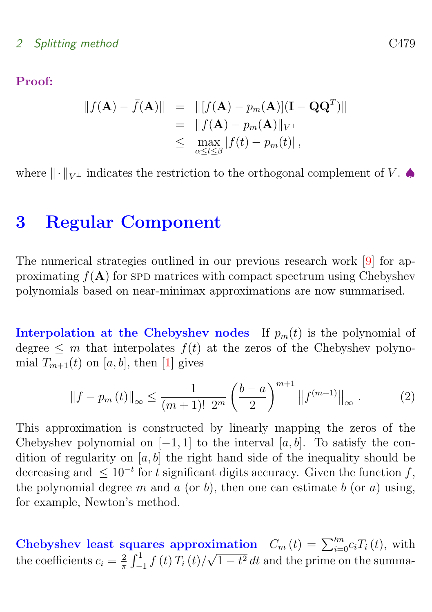<span id="page-7-1"></span>Proof:

$$
||f(\mathbf{A}) - \bar{f}(\mathbf{A})|| = ||[f(\mathbf{A}) - p_m(\mathbf{A})](\mathbf{I} - \mathbf{Q}\mathbf{Q}^T)||
$$
  
= 
$$
||f(\mathbf{A}) - p_m(\mathbf{A})||_{V^{\perp}}
$$
  

$$
\leq \max_{\alpha \leq t \leq \beta} |f(t) - p_m(t)|,
$$

where  $\|\cdot\|_{V^{\perp}}$  indicates the restriction to the orthogonal complement of V.

# <span id="page-7-0"></span>3 Regular Component

The numerical strategies outlined in our previous research work [\[9\]](#page-14-2) for approximating  $f(A)$  for spp matrices with compact spectrum using Chebyshev polynomials based on near-minimax approximations are now summarised.

**Interpolation at the Chebyshev nodes** If  $p_m(t)$  is the polynomial of degree  $\leq m$  that interpolates  $f(t)$  at the zeros of the Chebyshev polynomial  $T_{m+1}(t)$  on [a, b], then [\[1\]](#page-14-6) gives

$$
\|f - p_m(t)\|_{\infty} \le \frac{1}{(m+1)! \ 2^m} \left(\frac{b-a}{2}\right)^{m+1} \|f^{(m+1)}\|_{\infty} \ . \tag{2}
$$

This approximation is constructed by linearly mapping the zeros of the Chebyshev polynomial on  $[-1, 1]$  to the interval  $[a, b]$ . To satisfy the condition of regularity on  $[a, b]$  the right hand side of the inequality should be decreasing and  $\leq 10^{-t}$  for t significant digits accuracy. Given the function f, the polynomial degree m and a (or b), then one can estimate b (or a) using, for example, Newton's method.

Chebyshev least squares approximation  $C_m(t) = \sum_{i=0}^{m} c_i T_i(t)$ , with the coefficients  $c_i = \frac{2}{\pi}$  $\frac{2}{\pi} \int_{-1}^{1} f(t) T_i(t) / \sqrt{1 - t^2} dt$  and the prime on the summa-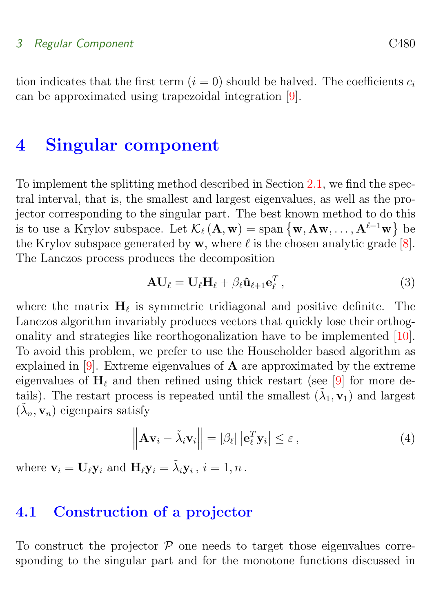#### <span id="page-8-2"></span>3 Regular Component C480

tion indicates that the first term  $(i = 0)$  should be halved. The coefficients  $c_i$ can be approximated using trapezoidal integration [\[9\]](#page-14-2).

# <span id="page-8-0"></span>4 Singular component

To implement the splitting method described in Section [2.1,](#page-6-0) we find the spectral interval, that is, the smallest and largest eigenvalues, as well as the projector corresponding to the singular part. The best known method to do this is to use a Krylov subspace. Let  $\mathcal{K}_{\ell}(\mathbf{A}, \mathbf{w}) = \text{span} \{ \mathbf{w}, \mathbf{A} \mathbf{w}, \dots, \mathbf{A}^{\ell-1} \mathbf{w} \}$  be the Krylov subspace generated by  $w$ , where  $\ell$  is the chosen analytic grade [\[8\]](#page-14-8). The Lanczos process produces the decomposition

$$
\mathbf{A}\mathbf{U}_{\ell} = \mathbf{U}_{\ell}\mathbf{H}_{\ell} + \beta_{\ell}\hat{\mathbf{u}}_{\ell+1}\mathbf{e}_{\ell}^{T}, \qquad (3)
$$

where the matrix  $H_{\ell}$  is symmetric tridiagonal and positive definite. The Lanczos algorithm invariably produces vectors that quickly lose their orthogonality and strategies like reorthogonalization have to be implemented [\[10\]](#page-15-2). To avoid this problem, we prefer to use the Householder based algorithm as explained in  $[9]$ . Extreme eigenvalues of **A** are approximated by the extreme eigenvalues of  $H_\ell$  and then refined using thick restart (see [\[9\]](#page-14-2) for more details). The restart process is repeated until the smallest  $(\tilde{\lambda}_1, \mathbf{v}_1)$  and largest  $(\tilde{\lambda}_n, \mathbf{v}_n)$  eigenpairs satisfy

$$
\left\| \mathbf{A} \mathbf{v}_i - \tilde{\lambda}_i \mathbf{v}_i \right\| = |\beta_\ell| \left| \mathbf{e}_\ell^T \mathbf{y}_i \right| \le \varepsilon, \tag{4}
$$

where  $\mathbf{v}_i = \mathbf{U}_{\ell} \mathbf{y}_i$  and  $\mathbf{H}_{\ell} \mathbf{y}_i = \tilde{\lambda}_i \mathbf{y}_i$ ,  $i = 1, n$ .

#### <span id="page-8-1"></span>4.1 Construction of a projector

To construct the projector  $P$  one needs to target those eigenvalues corresponding to the singular part and for the monotone functions discussed in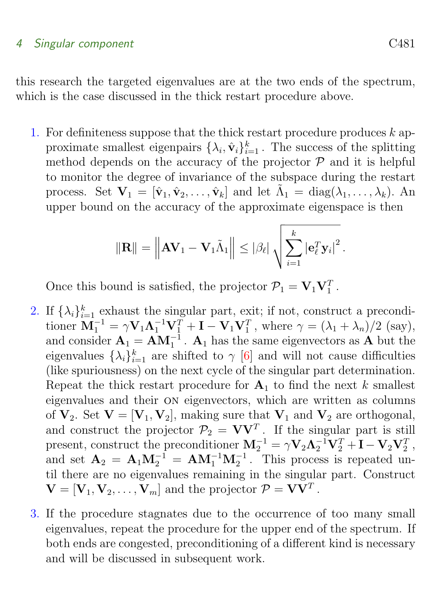#### <span id="page-9-0"></span>4 Singular component C481

this research the targeted eigenvalues are at the two ends of the spectrum, which is the case discussed in the thick restart procedure above.

1. For definiteness suppose that the thick restart procedure produces  $k$  approximate smallest eigenpairs  $\{\lambda_i, \hat{\mathbf{v}}_i\}_{i=1}^k$ . The success of the splitting method depends on the accuracy of the projector  $P$  and it is helpful to monitor the degree of invariance of the subspace during the restart process. Set  $\mathbf{V}_1 = [\hat{\mathbf{v}}_1, \hat{\mathbf{v}}_2, \dots, \hat{\mathbf{v}}_k]$  and let  $\tilde{\Lambda}_1 = \text{diag}(\lambda_1, \dots, \lambda_k)$ . An upper bound on the accuracy of the approximate eigenspace is then

$$
\|\mathbf{R}\| = \left\|\mathbf{A}\mathbf{V}_1 - \mathbf{V}_1\tilde{\Lambda}_1\right\| \leq |\beta_\ell| \sqrt{\sum_{i=1}^k |\mathbf{e}_\ell^T \mathbf{y}_i|^2}.
$$

Once this bound is satisfied, the projector  $\mathcal{P}_1 = \mathbf{V}_1 \mathbf{V}_1^T$ .

- 2. If  $\{\lambda_i\}_{i=1}^k$  exhaust the singular part, exit; if not, construct a preconditioner  $\mathbf{M}_1^{-1} = \gamma \mathbf{V}_1 \mathbf{\Lambda}_1^{-1} \mathbf{V}_1^T + \mathbf{I} - \mathbf{V}_1 \mathbf{V}_1^T$ , where  $\gamma = (\lambda_1 + \lambda_n)/2$  (say), and consider  $\mathbf{A}_1 = \mathbf{A}\mathbf{M}_1^{-1}$ .  $\mathbf{A}_1$  has the same eigenvectors as  $\mathbf{A}$  but the eigenvalues  $\{\lambda_i\}_{i=1}^k$  are shifted to  $\gamma$  [\[6\]](#page-14-9) and will not cause difficulties (like spuriousness) on the next cycle of the singular part determination. Repeat the thick restart procedure for  $A_1$  to find the next k smallest eigenvalues and their on eigenvectors, which are written as columns of  $V_2$ . Set  $V = [V_1, V_2]$ , making sure that  $V_1$  and  $V_2$  are orthogonal, and construct the projector  $\mathcal{P}_2 = \mathbf{V}\mathbf{V}^T$ . If the singular part is still present, construct the preconditioner  $M_2^{-1} = \gamma V_2 \Lambda_2^{-1} V_2^T + I - V_2 V_2^T$ , and set  $\mathbf{A}_2 = \mathbf{A}_1 \mathbf{M}_2^{-1} = \mathbf{A} \mathbf{M}_1^{-1} \mathbf{M}_2^{-1}$ . This process is repeated until there are no eigenvalues remaining in the singular part. Construct  $\mathbf{V} = [\mathbf{V}_1, \mathbf{V}_2, \dots, \mathbf{V}_m]$  and the projector  $\mathcal{P} = \mathbf{V}\mathbf{V}^T$ .
- 3. If the procedure stagnates due to the occurrence of too many small eigenvalues, repeat the procedure for the upper end of the spectrum. If both ends are congested, preconditioning of a different kind is necessary and will be discussed in subsequent work.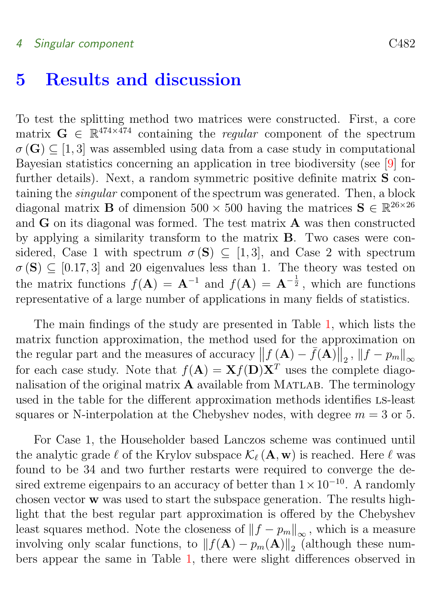### <span id="page-10-1"></span><span id="page-10-0"></span>5 Results and discussion

To test the splitting method two matrices were constructed. First, a core matrix  $G \in \mathbb{R}^{474 \times 474}$  containing the *regular* component of the spectrum  $\sigma(G) \subset [1, 3]$  was assembled using data from a case study in computational Bayesian statistics concerning an application in tree biodiversity (see [\[9\]](#page-14-2) for further details). Next, a random symmetric positive definite matrix **S** containing the singular component of the spectrum was generated. Then, a block diagonal matrix **B** of dimension  $500 \times 500$  having the matrices  $S \in \mathbb{R}^{26 \times 26}$ and G on its diagonal was formed. The test matrix A was then constructed by applying a similarity transform to the matrix B. Two cases were considered, Case 1 with spectrum  $\sigma(S) \subseteq [1,3]$ , and Case 2 with spectrum  $\sigma(S) \subseteq [0.17, 3]$  and 20 eigenvalues less than 1. The theory was tested on the matrix functions  $f(A) = A^{-1}$  and  $f(A) = A^{-\frac{1}{2}}$ , which are functions representative of a large number of applications in many fields of statistics.

The main findings of the study are presented in Table [1,](#page-11-0) which lists the matrix function approximation, the method used for the approximation on the regular part and the measures of accuracy  $|| f(A) - \bar{f}(A) ||_2$ ,  $||f - p_m||_{\infty}$ for each case study. Note that  $f(A) = \mathbf{X} f(\mathbf{D}) \mathbf{X}^T$  uses the complete diagonalisation of the original matrix  $\bf{A}$  available from MATLAB. The terminology used in the table for the different approximation methods identifies ls-least squares or N-interpolation at the Chebyshev nodes, with degree  $m = 3$  or 5.

For Case 1, the Householder based Lanczos scheme was continued until the analytic grade  $\ell$  of the Krylov subspace  $\mathcal{K}_{\ell}(\mathbf{A}, \mathbf{w})$  is reached. Here  $\ell$  was found to be 34 and two further restarts were required to converge the desired extreme eigenpairs to an accuracy of better than  $1 \times 10^{-10}$ . A randomly chosen vector w was used to start the subspace generation. The results highlight that the best regular part approximation is offered by the Chebyshev least squares method. Note the closeness of  $||f - p_m||_{\infty}$ , which is a measure involving only scalar functions, to  $|| f(A) - p_m(A) ||_2$  (although these numbers appear the same in Table [1,](#page-11-0) there were slight differences observed in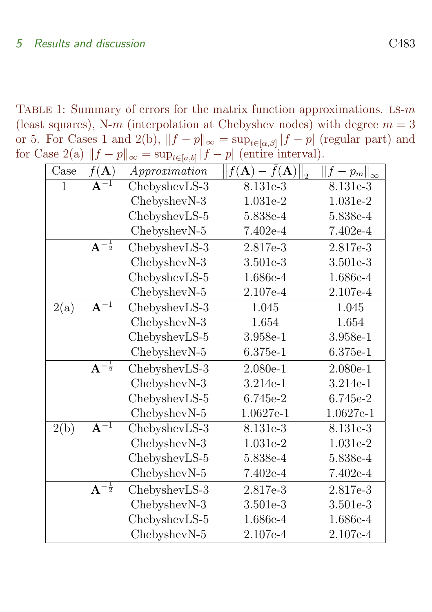TABLE 1: Summary of errors for the matrix function approximations. LS- $m$ (least squares), N-m (interpolation at Chebyshev nodes) with degree  $m = 3$ or 5. For Cases 1 and 2(b),  $||f - p||_{\infty} = \sup_{t \in [\alpha, \beta]} |f - p|$  (regular part) and for Case 2(a)  $||f - p||_{\infty} = \sup_{t \in [a,b]} |f - p|$  (entire interval).

<span id="page-11-0"></span>

| $\operatorname{Case}$ | $f(\mathbf{A})$             | Approximation | $ f(\mathbf{A}) - \bar{f}(\mathbf{A}) $ | $\ f\ $<br>$-p_m\ _{\infty}$ |
|-----------------------|-----------------------------|---------------|-----------------------------------------|------------------------------|
| $\mathbf{1}$          | $\overline{A^{-1}}$         | ChebyshevLS-3 | 8.131e-3                                | 8.131e-3                     |
|                       |                             | ChebyshevN-3  | 1.031e-2                                | 1.031e-2                     |
|                       |                             | ChebyshevLS-5 | 5.838e-4                                | 5.838e-4                     |
|                       |                             | ChebyshevN-5  | $7.402e-4$                              | $7.402e-4$                   |
|                       | $A^{-\frac{1}{2}}$          | ChebyshevLS-3 | 2.817e-3                                | 2.817e-3                     |
|                       |                             | ChebyshevN-3  | 3.501e-3                                | 3.501e-3                     |
|                       |                             | ChebyshevLS-5 | 1.686e-4                                | 1.686e-4                     |
|                       |                             | ChebyshevN-5  | 2.107e-4                                | 2.107e-4                     |
| 2(a)                  | $\overline{A^{-1}}$         | ChebyshevLS-3 | 1.045                                   | 1.045                        |
|                       |                             | ChebyshevN-3  | 1.654                                   | 1.654                        |
|                       |                             | ChebyshevLS-5 | 3.958e-1                                | 3.958e-1                     |
|                       |                             | ChebyshevN-5  | $6.375e-1$                              | $6.375e-1$                   |
|                       | $A^{-\frac{1}{2}}$          | ChebyshevLS-3 | $2.080e-1$                              | $2.080e-1$                   |
|                       |                             | ChebyshevN-3  | 3.214e-1                                | 3.214e-1                     |
|                       |                             | ChebyshevLS-5 | 6.745e-2                                | $6.745e-2$                   |
|                       |                             | ChebyshevN-5  | 1.0627e-1                               | 1.0627e-1                    |
| 2(b)                  | $\overline{A^{-1}}$         | ChebyshevLS-3 | 8.131e-3                                | 8.131e-3                     |
|                       |                             | ChebyshevN-3  | 1.031e-2                                | 1.031e-2                     |
|                       |                             | ChebyshevLS-5 | 5.838e-4                                | 5.838e-4                     |
|                       |                             | ChebyshevN-5  | 7.402e-4                                | 7.402e-4                     |
|                       | $\mathrm{A}^{-\frac{1}{2}}$ | ChebyshevLS-3 | 2.817e-3                                | 2.817e-3                     |
|                       |                             | ChebyshevN-3  | 3.501e-3                                | 3.501e-3                     |
|                       |                             | ChebyshevLS-5 | 1.686e-4                                | $1.686e-4$                   |
|                       |                             | ChebyshevN-5  | 2.107e-4                                | 2.107e-4                     |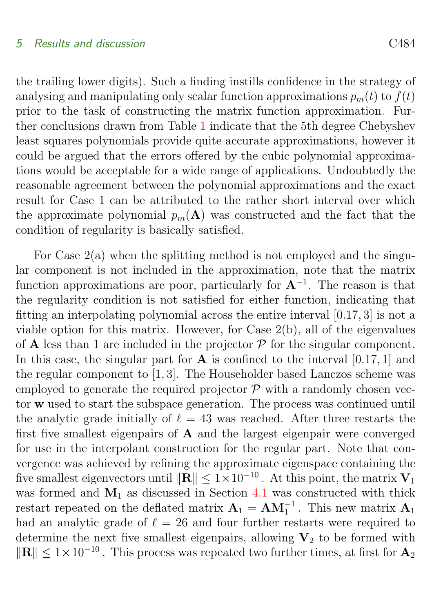#### 5 Results and discussion C484

the trailing lower digits). Such a finding instills confidence in the strategy of analysing and manipulating only scalar function approximations  $p_m(t)$  to  $f(t)$ prior to the task of constructing the matrix function approximation. Further conclusions drawn from Table [1](#page-11-0) indicate that the 5th degree Chebyshev least squares polynomials provide quite accurate approximations, however it could be argued that the errors offered by the cubic polynomial approximations would be acceptable for a wide range of applications. Undoubtedly the reasonable agreement between the polynomial approximations and the exact result for Case 1 can be attributed to the rather short interval over which the approximate polynomial  $p_m(A)$  was constructed and the fact that the condition of regularity is basically satisfied.

For Case  $2(a)$  when the splitting method is not employed and the singular component is not included in the approximation, note that the matrix function approximations are poor, particularly for  $A^{-1}$ . The reason is that the regularity condition is not satisfied for either function, indicating that fitting an interpolating polynomial across the entire interval [0.17, 3] is not a viable option for this matrix. However, for Case 2(b), all of the eigenvalues of **A** less than 1 are included in the projector  $P$  for the singular component. In this case, the singular part for  $\bf{A}$  is confined to the interval [0.17, 1] and the regular component to [1, 3]. The Householder based Lanczos scheme was employed to generate the required projector  $P$  with a randomly chosen vector w used to start the subspace generation. The process was continued until the analytic grade initially of  $\ell = 43$  was reached. After three restarts the first five smallest eigenpairs of A and the largest eigenpair were converged for use in the interpolant construction for the regular part. Note that convergence was achieved by refining the approximate eigenspace containing the five smallest eigenvectors until  $\|\mathbf{R}\| \leq 1 \times 10^{-10}$ . At this point, the matrix  $V_1$ was formed and  $M_1$  as discussed in Section [4.1](#page-8-1) was constructed with thick restart repeated on the deflated matrix  $\mathbf{A}_1 = \mathbf{A}\mathbf{M}_1^{-1}$ . This new matrix  $\mathbf{A}_1$ had an analytic grade of  $\ell = 26$  and four further restarts were required to determine the next five smallest eigenpairs, allowing  $V_2$  to be formed with  $\Vert \mathbf{R} \Vert \leq 1 \times 10^{-10}$ . This process was repeated two further times, at first for  $\mathbf{A}_2$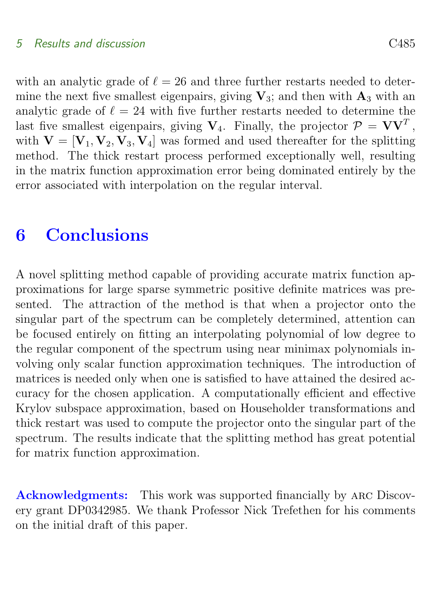#### 5 Results and discussion C485

with an analytic grade of  $\ell = 26$  and three further restarts needed to determine the next five smallest eigenpairs, giving  $V_3$ ; and then with  $A_3$  with an analytic grade of  $\ell = 24$  with five further restarts needed to determine the last five smallest eigenpairs, giving  $V_4$ . Finally, the projector  $P = VV^T$ , with  $V = [V_1, V_2, V_3, V_4]$  was formed and used thereafter for the splitting method. The thick restart process performed exceptionally well, resulting in the matrix function approximation error being dominated entirely by the error associated with interpolation on the regular interval.

## <span id="page-13-0"></span>6 Conclusions

A novel splitting method capable of providing accurate matrix function approximations for large sparse symmetric positive definite matrices was presented. The attraction of the method is that when a projector onto the singular part of the spectrum can be completely determined, attention can be focused entirely on fitting an interpolating polynomial of low degree to the regular component of the spectrum using near minimax polynomials involving only scalar function approximation techniques. The introduction of matrices is needed only when one is satisfied to have attained the desired accuracy for the chosen application. A computationally efficient and effective Krylov subspace approximation, based on Householder transformations and thick restart was used to compute the projector onto the singular part of the spectrum. The results indicate that the splitting method has great potential for matrix function approximation.

Acknowledgments: This work was supported financially by arc Discovery grant DP0342985. We thank Professor Nick Trefethen for his comments on the initial draft of this paper.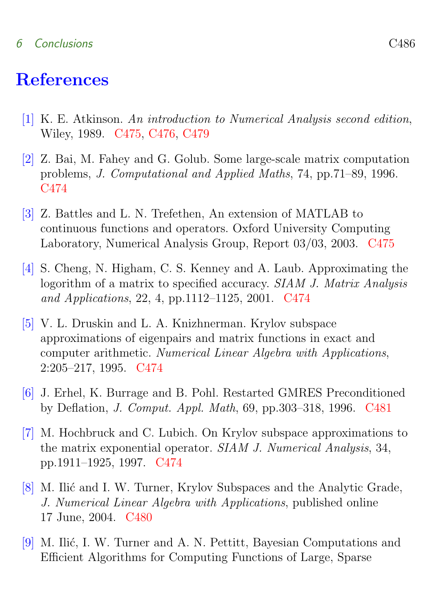#### 6 Conclusions C486

### References

- <span id="page-14-6"></span><span id="page-14-0"></span>[1] K. E. Atkinson. An introduction to Numerical Analysis second edition, Wiley, 1989. [C475,](#page-3-1) [C476,](#page-4-1) [C479](#page-7-1)
- <span id="page-14-4"></span>[2] Z. Bai, M. Fahey and G. Golub. Some large-scale matrix computation problems, J. Computational and Applied Maths, 74, pp.71–89, 1996. [C474](#page-2-0)
- <span id="page-14-7"></span>[3] Z. Battles and L. N. Trefethen, An extension of MATLAB to continuous functions and operators. Oxford University Computing Laboratory, Numerical Analysis Group, Report 03/03, 2003. [C475](#page-3-1)
- <span id="page-14-1"></span>[4] S. Cheng, N. Higham, C. S. Kenney and A. Laub. Approximating the logorithm of a matrix to specified accuracy. SIAM J. Matrix Analysis and Applications, 22, 4, pp.1112–1125, 2001. [C474](#page-2-0)
- <span id="page-14-3"></span>[5] V. L. Druskin and L. A. Knizhnerman. Krylov subspace approximations of eigenpairs and matrix functions in exact and computer arithmetic. Numerical Linear Algebra with Applications, 2:205–217, 1995. [C474](#page-2-0)
- <span id="page-14-9"></span>[6] J. Erhel, K. Burrage and B. Pohl. Restarted GMRES Preconditioned by Deflation, J. Comput. Appl. Math, 69, pp.303–318, 1996. [C481](#page-9-0)
- <span id="page-14-5"></span>[7] M. Hochbruck and C. Lubich. On Krylov subspace approximations to the matrix exponential operator. SIAM J. Numerical Analysis, 34, pp.1911–1925, 1997. [C474](#page-2-0)
- <span id="page-14-8"></span>[8] M. Ilić and I. W. Turner, Krylov Subspaces and the Analytic Grade, J. Numerical Linear Algebra with Applications, published online 17 June, 2004. [C480](#page-8-2)
- <span id="page-14-2"></span>[9] M. Ilić, I. W. Turner and A. N. Pettitt, Bayesian Computations and Efficient Algorithms for Computing Functions of Large, Sparse